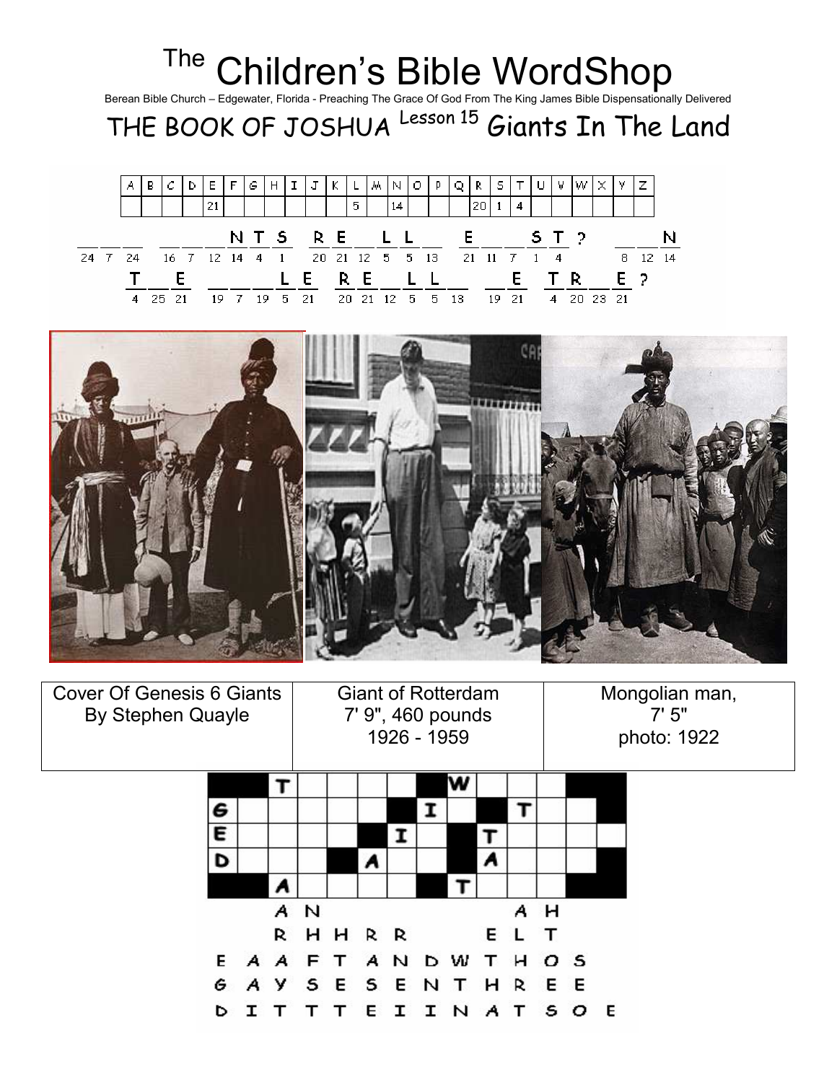| <sup>The</sup> Children's Bible WordShop<br>Berean Bible Church - Edgewater, Florida - Preaching The Grace Of God From The King James Bible Dispensationally Delivered<br>THE BOOK OF JOSHUA Lesson 15 Giants In The Land |  |    |   |      |  |    |   |               |   |    |           |     |     |    |     |    |                             |    |     |     |    |  |   |    |     |    |  |
|---------------------------------------------------------------------------------------------------------------------------------------------------------------------------------------------------------------------------|--|----|---|------|--|----|---|---------------|---|----|-----------|-----|-----|----|-----|----|-----------------------------|----|-----|-----|----|--|---|----|-----|----|--|
|                                                                                                                                                                                                                           |  |    |   |      |  |    |   |               |   |    |           |     |     |    |     |    |                             |    |     |     |    |  |   |    |     |    |  |
|                                                                                                                                                                                                                           |  | А  | В |      |  |    | F | G             | H |    | T.        |     |     | м. | N   | Ω. |                             |    | R.  | s   |    |  | w |    | z   |    |  |
|                                                                                                                                                                                                                           |  |    |   |      |  | 21 |   |               |   |    |           |     | 5.  |    | 14  |    |                             |    | 20. |     |    |  |   |    |     |    |  |
|                                                                                                                                                                                                                           |  |    |   |      |  |    |   |               |   |    | NTS RE LL |     |     |    |     |    |                             |    | E.  |     |    |  |   |    |     |    |  |
| 24                                                                                                                                                                                                                        |  | 24 |   | 16 7 |  |    |   | $12 \t14 \t4$ |   |    |           |     |     |    |     |    | 20 21 12 5 5 13 21 11 7 1 4 |    |     |     |    |  |   | 8. | 12  | 14 |  |
|                                                                                                                                                                                                                           |  |    |   |      |  |    |   |               |   |    |           |     | R E |    |     |    |                             |    |     |     | E. |  |   |    | E 2 |    |  |
|                                                                                                                                                                                                                           |  |    |   |      |  | 19 |   | 19            |   | 5. | 21        | 20. | 21  |    | 12. | 5. | 5.                          | 13 |     | 19. | 21 |  |   |    |     |    |  |



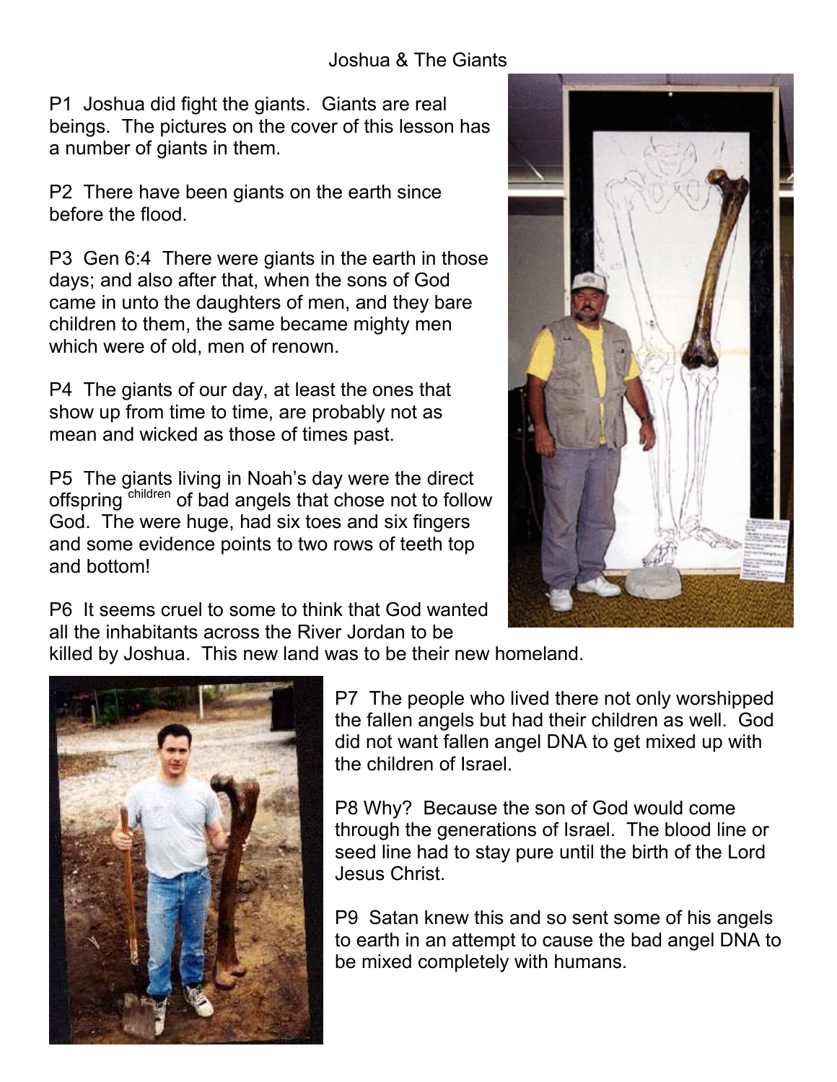P1 Joshua did fight the giants. Giants are real beings. The pictures on the cover of this lesson has a number of giants in them.

P2 There have been giants on the earth since before the flood.

P3 Gen 6:4 There were giants in the earth in those days; and also after that, when the sons of God came in unto the daughters of men, and they bare children to them, the same became mighty men which were of old, men of renown.

P4 The giants of our day, at least the ones that show up from time to time, are probably not as mean and wicked as those of times past.

P5 The giants living in Noah's day were the direct offspring children of bad angels that chose not to follow God. The were huge, had six toes and six fingers and some evidence points to two rows of teeth top and bottom!



P6 It seems cruel to some to think that God wanted all the inhabitants across the River Jordan to be

killed by Joshua. This new land was to be their new homeland.



P7 The people who lived there not only worshipped the fallen angels but had their children as well. God did not want fallen angel DNA to get mixed up with the children of Israel.

P8 Why? Because the son of God would come through the generations of Israel. The blood line or seed line had to stay pure until the birth of the Lord Jesus Christ.

P9 Satan knew this and so sent some of his angels to earth in an attempt to cause the bad angel DNA to be mixed completely with humans.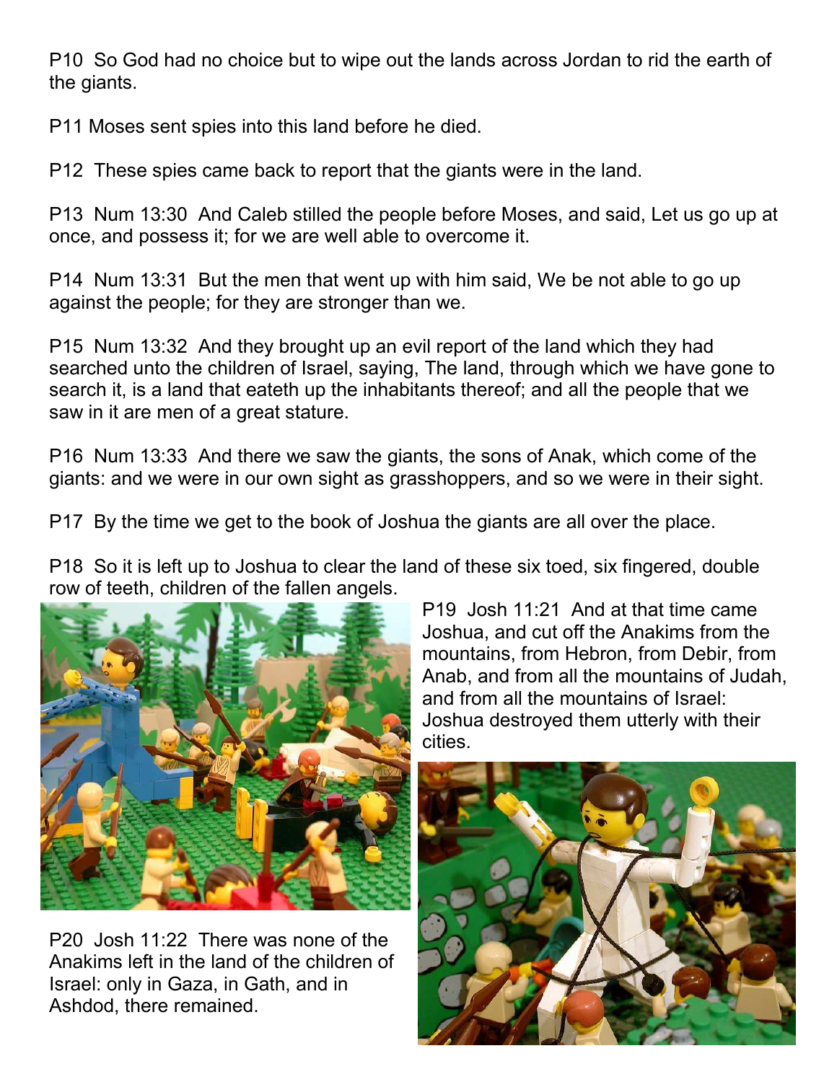P10 So God had no choice but to wipe out the lands across Jordan to rid the earth of the giants.

P11 Moses sent spies into this land before he died.

P12 These spies came back to report that the giants were in the land.

P13 Num 13:30 And Caleb stilled the people before Moses, and said, Let us go up at once, and possess it; for we are well able to overcome it.

P14 Num 13:31 But the men that went up with him said, We be not able to go up against the people; for they are stronger than we.

P15 Num 13:32 And they brought up an evil report of the land which they had searched unto the children of Israel, saying, The land, through which we have gone to search it, is a land that eateth up the inhabitants thereof; and all the people that we saw in it are men of a great stature.

P16 Num 13:33 And there we saw the giants, the sons of Anak, which come of the giants: and we were in our own sight as grasshoppers, and so we were in their sight.

P17 By the time we get to the book of Joshua the giants are all over the place.

P18 So it is left up to Joshua to clear the land of these six toed, six fingered, double row of teeth, children of the fallen angels.



P20 Josh 11:22 There was none of the Anakims left in the land of the children of Israel: only in Gaza, in Gath, and in Ashdod, there remained.

P19 Josh 11:21 And at that time came Joshua, and cut off the Anakims from the mountains, from Hebron, from Debir, from Anab, and from all the mountains of Judah, and from all the mountains of Israel: Joshua destroyed them utterly with their cities.

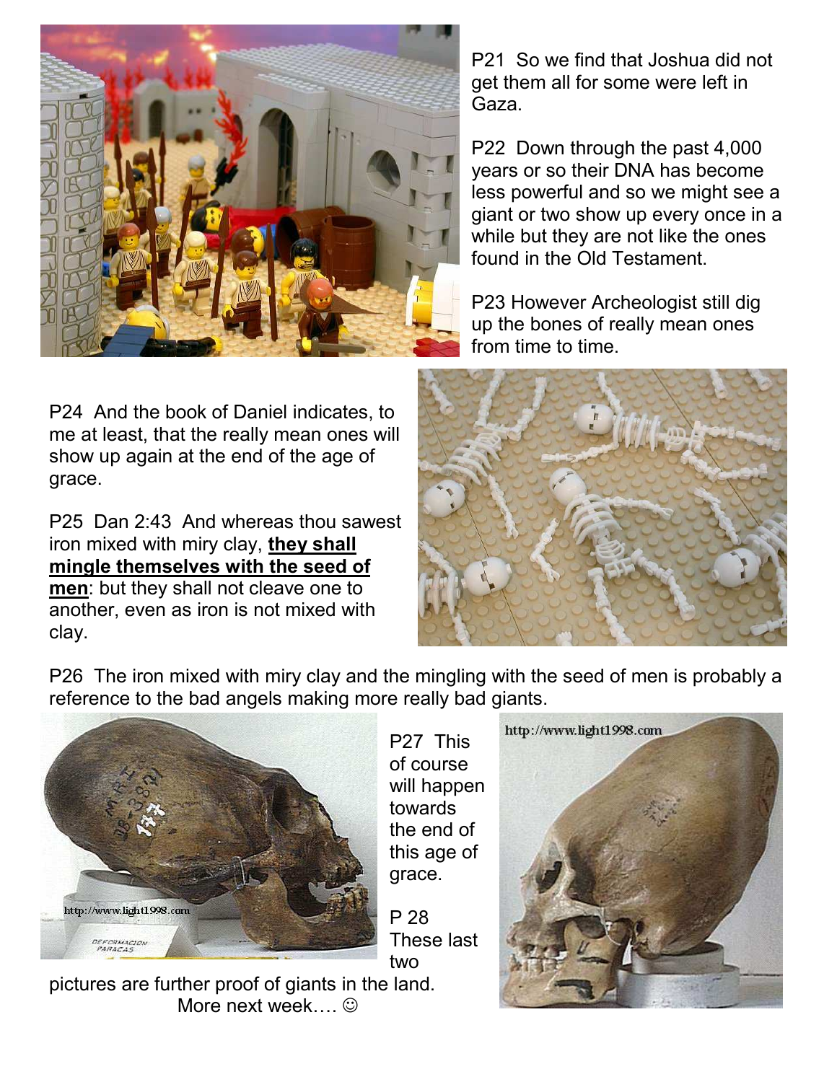

P24 And the book of Daniel indicates, to me at least, that the really mean ones will show up again at the end of the age of grace.

P25 Dan 2:43 And whereas thou sawest iron mixed with miry clay, they shall mingle themselves with the seed of men: but they shall not cleave one to another, even as iron is not mixed with clay.

P21 So we find that Joshua did not get them all for some were left in Gaza.

P22 Down through the past 4,000 years or so their DNA has become less powerful and so we might see a giant or two show up every once in a while but they are not like the ones found in the Old Testament.

P23 However Archeologist still dig up the bones of really mean ones from time to time.



P26 The iron mixed with miry clay and the mingling with the seed of men is probably a reference to the bad angels making more really bad giants.



P27 This of course will happen towards the end of this age of grace.

P 28 These last two



pictures are further proof of giants in the land. More next week… $\odot$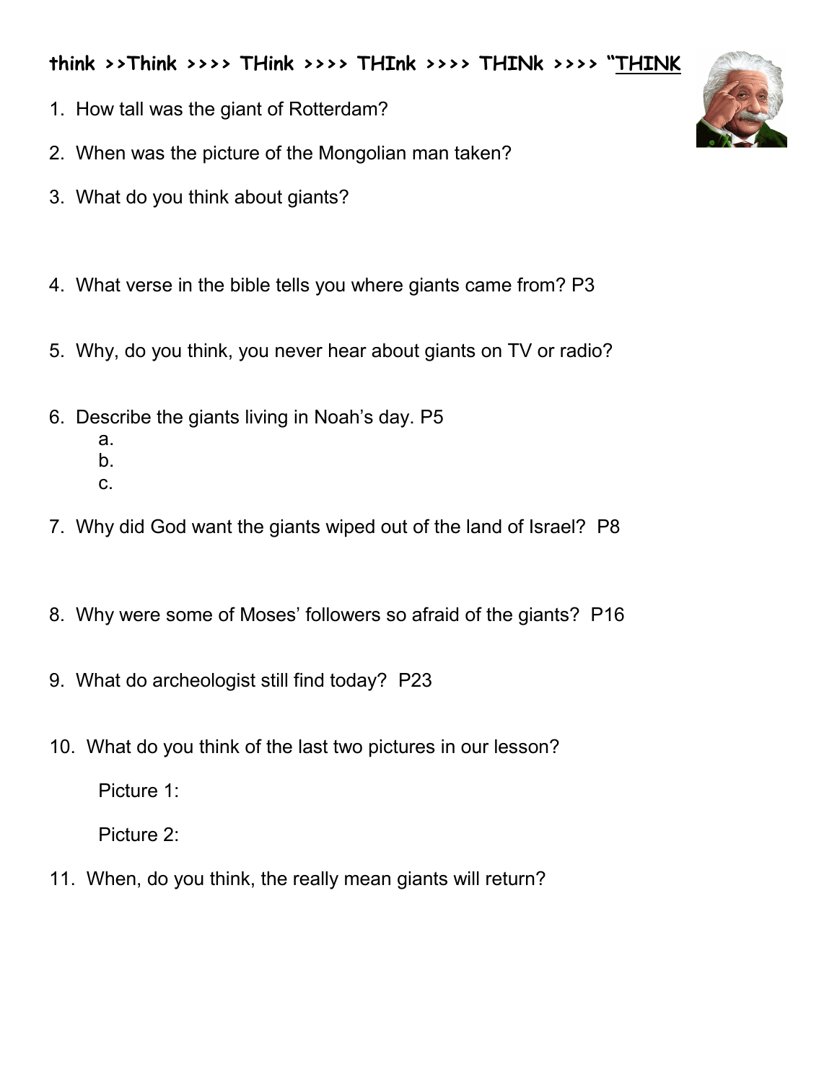think >>Think >>>> THink >>>> THInk >>>> THINk >>>> "THINK

- 1. How tall was the giant of Rotterdam?
- 2. When was the picture of the Mongolian man taken?
- 3. What do you think about giants?
- 4. What verse in the bible tells you where giants came from? P3
- 5. Why, do you think, you never hear about giants on TV or radio?
- 6. Describe the giants living in Noah's day. P5
	- a.
	- b.
	- c.
- 7. Why did God want the giants wiped out of the land of Israel? P8
- 8. Why were some of Moses' followers so afraid of the giants? P16
- 9. What do archeologist still find today? P23
- 10. What do you think of the last two pictures in our lesson?

Picture 1:

Picture 2:

11. When, do you think, the really mean giants will return?